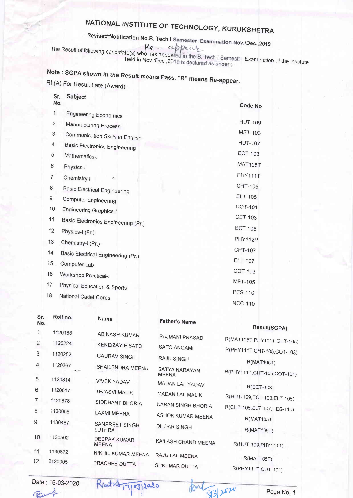Rev<del>ised N</del>otification No.B. Tech I Semester Examination Nov./Dec..2019

The Result of following candidate(s) who has appeared in the R

held in Nov./Dec.,2019 is declared as under :<br>held in Nov./Dec.,2019 is declared as under :

## Note : SGPA shown in the Result means Pass, "R" means Re-appear. RL(A) For Result Late (Award)

| LIA) For Result Late (Award |  |  |
|-----------------------------|--|--|
|-----------------------------|--|--|

 $\mathbf{s}$   $\mathbf{s}$ .

| JГ.<br>No.     | ouplect                                            | Code No        |
|----------------|----------------------------------------------------|----------------|
| $\mathbf{1}$   | <b>Engineering Economics</b>                       |                |
| 2              | Manufacturing Process                              | <b>HUT-109</b> |
| 3              | Communication Skills in English                    | MET-103        |
| 4              | <b>Basic Electronics Engineering</b>               | <b>HUT-107</b> |
| 5              | Mathematics-I                                      | <b>ECT-103</b> |
| 6              | Physics-I                                          | <b>MAT105T</b> |
| $\overline{7}$ | Chemistry-I<br>$\mathbf{r}$                        | PHY111T        |
| 8              | <b>Basic Electrical Engineering</b>                | CHT-105        |
| 9              | <b>Computer Engineering</b>                        | ELT-105        |
| 10             | <b>Engineering Graphics-I</b>                      | COT-101        |
| 11             | Basic Electronics Engineering (Pr.)                | <b>CET-103</b> |
| 12             | Physics-I (Pr.)                                    | <b>ECT-105</b> |
| 13             | Chemistry-I (Pr.)                                  | PHY112P        |
| 14             |                                                    | CHT-107        |
| 15             | Basic Electrical Engineering (Pr.)<br>Computer Lab | ELT-107        |
| 16             | Workshop Practical-I                               | COT-103        |
| 17             |                                                    | <b>MET-105</b> |
| 18             | Physical Education & Sports                        | <b>PES-110</b> |
|                | National Cadet Corps                               | <b>NCC-110</b> |

| Sr.<br>No.     | Roll no.                                   | Name                                | <b>Father's Name</b>          | Result(SGPA)                 |
|----------------|--------------------------------------------|-------------------------------------|-------------------------------|------------------------------|
|                | 1120188                                    | <b>ABINASH KUMAR</b>                | RAJMANI PRASAD                |                              |
| $\overline{c}$ | 1120224                                    | <b>KENEIZAYIE SATO</b>              |                               | R(MAT105T, PHY111T, CHT-105) |
| 3              | 1120252                                    |                                     | <b>SATO ANGAMI</b>            | R(PHY111T, CHT-105, COT-103) |
|                |                                            | <b>GAURAV SINGH</b>                 | <b>RAJU SINGH</b>             | <b>R(MAT105T)</b>            |
| 4              | 1120367<br>$\mathbf{r}_1$ , $\mathbf{r}_2$ | SHAILENDRA MEENA                    | SATYA NARAYAN<br><b>MEENA</b> | R(PHY111T, CHT-105, COT-101) |
| 5              | 1120814                                    | <b>VIVEK YADAV</b>                  | MADAN LAL YADAV               |                              |
| 6              | 1120817                                    | <b>TEJASVI MALIK</b>                | MADAN LAL MALIK               | R(ECT-103)                   |
| 7              | 1120878                                    | SIDDHANT BHORIA                     |                               | R(HUT-109, ECT-103, ELT-105) |
| 8              | 1130056                                    |                                     | <b>KARAN SINGH BHORIA</b>     | R(CHT-105, ELT-107, PES-110) |
|                |                                            | <b>LAXMI MEENA</b>                  | ASHOK KUMAR MEENA             | <b>R(MAT105T)</b>            |
| 9              | 1130487                                    | SANPREET SINGH<br>LUTHRA            | <b>DILDAR SINGH</b>           | <b>R(MAT105T)</b>            |
| 10             | 1130502                                    | <b>DEEPAK KUMAR</b><br><b>MEENA</b> | KAILASH CHAND MEENA           | R(HUT-109, PHY111T)          |
| 11             | 1130872                                    | NIKHIL KUMAR MEENA                  | RAJU LAL MEENA                |                              |
| 12             | 2120005                                    | PRACHEE DUTTA                       |                               | <b>R(MAT105T)</b>            |
|                |                                            |                                     | SUKUMAR DUTTA                 | R(PHY111T, COT-101)          |

 $RM_{632}$ 

Date : 16-03-2020 Parry

 $R_{\text{bot}}\rightarrow 170312020$   $R_{\text{int}}\rightarrow 2070$  Page No. 1

)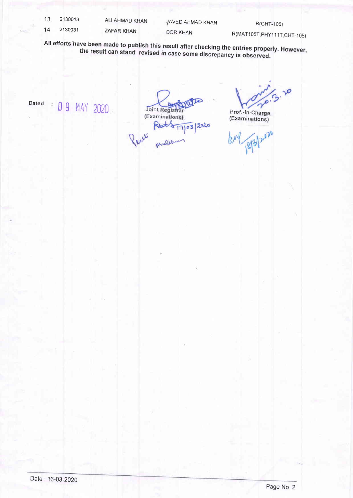| 13 | 2130013 | ALI AHMAD KHAN    | <b>VAVED AHMAD KHAN</b> | R(CHT-105)                   |
|----|---------|-------------------|-------------------------|------------------------------|
| 14 | 2130031 | <b>ZAFAR KHAN</b> | DOR KHAN                | R(MAT105T, PHY111T, CHT-105) |

All efforts have been made to publish this result after checking the entries properly. However,<br>the result can stand revised in case some discrepancy is observed.

 $Dated$  :  $D9$  MAY 2020

Joint Registrar (Examinations) Rat/2 17/03/2020

 $3.20$ 

Prof.-ln-Charge (Exqminations)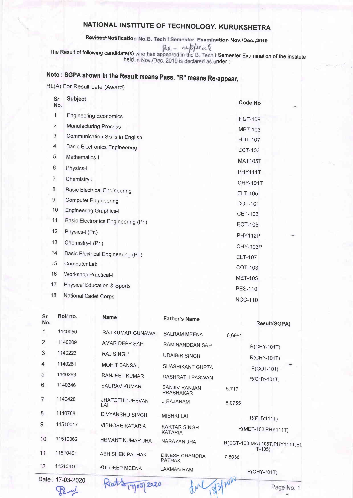Revised Notification No.B. Tech I Semester Examination Nov./Dec.,2019

The Result of following candidate(s) who has appeared in the B. Tech I Semester Examination of the institute held in Nov./Dec.,2019 is declared as under :-

## Note : SGPA shown in the Result means Pass. "R" means Re-appear.

RL(A) For Result Late (Award)

| Sr.<br>No.     | <b>Subject</b>                         | <b>Code No</b> |
|----------------|----------------------------------------|----------------|
| 1              | <b>Engineering Economics</b>           | <b>HUT-109</b> |
| $\overline{2}$ | Manufacturing Process                  | <b>MET-103</b> |
| $\sqrt{3}$     | Communication Skills in English        | <b>HUT-107</b> |
| 4              | <b>Basic Electronics Engineering</b>   | <b>ECT-103</b> |
| 5              | Mathematics-I                          | <b>MAT105T</b> |
| 6              | Physics-I                              | PHY111T        |
| 7              | Chemistry-I                            | CHY-101T       |
| 8              | <b>Basic Electrical Engineering</b>    | <b>ELT-105</b> |
| 9              | <b>Computer Engineering</b>            | COT-101        |
| 10             | <b>Engineering Graphics-I</b>          | CET-103        |
| 11             | Basic Electronics Engineering (Pr.)    | <b>ECT-105</b> |
| 12             | Physics-I (Pr.)                        | PHY112P        |
| 13             | Chemistry-I (Pr.)                      | CHY-103P       |
| 14             | Basic Electrical Engineering (Pr.)     | ELT-107        |
| 15             | Computer Lab                           | COT-103        |
| 16             | Workshop Practical-I                   | <b>MET-105</b> |
| 17             | <b>Physical Education &amp; Sports</b> | <b>PES-110</b> |
| 18             | National Cadet Corps                   | <b>NCC-110</b> |

| Sr.<br>No.     | Roll no.      | <b>Name</b>            | <b>Father's Name</b>                   | Result(SGPA)                               |
|----------------|---------------|------------------------|----------------------------------------|--------------------------------------------|
|                | 1140050       | RAJ KUMAR GUNAWAT      | <b>BALRAM MEENA</b>                    | 6.6981                                     |
| $\overline{2}$ | 1140209       | AMAR DEEP SAH          | RAM NANDDAN SAH                        | R(CHY-101T)                                |
| 3              | 1140223       | <b>RAJ SINGH</b>       | <b>UDAIBIR SINGH</b>                   | R(CHY-101T)                                |
| 4              | 1140261       | <b>MOHIT BANSAL</b>    | SHASHIKANT GUPTA                       | $R(COT-101)$                               |
| 5              | 1140263       | RANJEET KUMAR          | DASHRATH PASWAN                        | R(CHY-101T)                                |
| 6              | 1140346       | <b>SAURAV KUMAR</b>    | SANJIV RANJAN<br>PRABHAKAR             | 5.717                                      |
| 7              | 1140428       | JHATOTHU JEEVAN<br>LAL | <b>J.RAJARAM</b>                       | 6.0755                                     |
| 8              | 1140788       | DIVYANSHU SINGH        | <b>MISHRI LAL</b>                      | R(PHY111T)                                 |
| 9              | 11510017      | <b>VIBHORE KATARIA</b> | <b>KARTAR SINGH</b><br><b>KATARIA</b>  | R(MET-103, PHY111T)                        |
| 10             | 11510362      | HEMANT KUMAR JHA       | NARAYAN JHA                            | R(ECT-103, MAT105T, PHY111T, EL<br>$T-105$ |
| 11             | 11510401      | <b>ABHISHEK PATHAK</b> | <b>DINESH CHANDRA</b><br><b>PATHAK</b> | 7.6038                                     |
| 12             | 11510415      | <b>KULDEEP MEENA</b>   | <b>LAXMAN RAM</b>                      | R(CHY-101T)                                |
|                | $D = 4700000$ | $-$                    |                                        |                                            |

Date: 17-03-2OZO Permi

Klat 817/03/2020

Page No. 1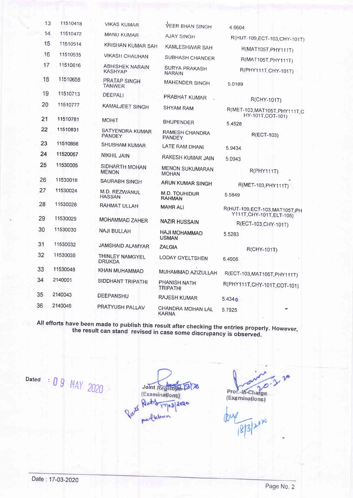| 13 | 11510418 | <b>VIKAS KUMAR</b>                       | <b>VEER BHAN SINGH</b>                 | 4.6604                                                       |
|----|----------|------------------------------------------|----------------------------------------|--------------------------------------------------------------|
| 14 | 11510472 | <b>MANU KUMAR</b>                        | <b>AJAY SINGH</b>                      | R(HUT-109, ECT-103, CHY-101T)                                |
| 15 | 11510514 | KRISHAN KUMAR SAH                        | KAMLESHWAR SAH                         | R(MAT105T, PHY111T)                                          |
| 16 | 11510535 | <b>VIKASH CHAUHAN</b>                    | SUBHASH CHANDER                        | R(MAT105T, PHY111T)                                          |
| 17 | 11510616 | <b>ABHISHEK NARAIN</b><br><b>KASHYAP</b> | <b>SURYA PRAKASH</b><br><b>NARAIN</b>  | R(PHY111T, CHY-101T)                                         |
| 18 | 11510658 | PRATAP SINGH<br><b>TANWER</b>            | MAHENDER SINGH                         | 5.0189                                                       |
| 19 | 11510713 | DEEPALI                                  | PRABHAT KUMAR                          | R(CHY-101T)                                                  |
| 20 | 11510777 | <b>KAMALJEET SINGH</b>                   | <b>SHYAM RAM</b>                       | R(MET-103, MAT105T, PHY111T, C                               |
| 21 | 11510781 | <b>MOHIT</b>                             | <b>BHUPENDER</b>                       | HY-101T, COT-101)<br>5.4528                                  |
| 22 | 11510831 | SATYENDRA KUMAR<br>PANDEY                | RAMESH CHANDRA<br><b>PANDEY</b>        | R(ECT-103)                                                   |
| 23 | 11510856 | SHUBHAM KUMAR                            | LATE RAM DHANI                         | 5.9434                                                       |
| 24 | 11520067 | <b>NIKHIL JAIN</b>                       | RAKESH KUMAR JAIN                      | 5.0943                                                       |
| 25 | 11530005 | SIDHARTH MOHAN<br><b>MENON</b>           | <b>MENON SUKUMARAN</b><br><b>MOHAN</b> | <b>R(PHY111T)</b>                                            |
| 26 | 11530018 | SAURABH SINGH                            | <b>ARUN KUMAR SINGH</b>                | R(MET-103, PHY111T)                                          |
| 27 | 11530024 | M.D. REZWANUL<br><b>HASSAN</b>           | M.D. TOUHIDUR<br><b>RAHMAN</b>         | 5.5849                                                       |
| 28 | 11530028 | RAHMAT ULLAH                             | <b>MAHR ALI</b>                        | R(HUT-109, ECT-103, MAT105T, PH<br>Y111T, CHY-101T, ELT-105) |
| 29 | 11530029 | MOHAMMAD ZAHER                           | <b>NAZIR HUSSAIN</b>                   | R(ECT-103, CHY-101T)                                         |
| 30 | 11530030 | NAJI BULLAH                              | <b>HAJI MOHAMMAD</b><br><b>USMAN</b>   | 5.5283                                                       |
| 31 | 11530032 | <b>JAMSHAID ALAMYAR</b>                  | <b>ZALGIA</b>                          | R(CHY-101T)                                                  |
| 32 | 11530039 | THINLEY NAMGYEL<br><b>DRUKDA</b>         | <b>LODAY GYELTSHEN</b>                 | 6.4906                                                       |
| 33 | 11530048 | KHAN MUHAMMAD                            | MUHAMMAD AZIZULLAH                     | R(ECT-103, MAT105T, PHY111T)                                 |
| 34 | 2140001  | SIDDHANT TRIPATHI                        | PHANISH NATH<br>TRIPATHI               | R(PHY111T,CHY-101T,COT-101)                                  |
| 35 | 2140043  | DEEPANSHU                                | <b>RAJESH KUMAR</b>                    | 5.434 <sub>o</sub>                                           |
| 36 | 2140046  | PRATYUSH PALLAV                          | CHANDRA MOHAN LAL<br><b>KARNA</b>      | 5.7925                                                       |

All efforts have been made to publish this result after checking the entries properly. However,<br>the result can stand revised in case some discrepancy is observed **Expressing the chines property** some discrepancy is observed.

Dated :  $\bigcap$  Q 11AY 2020

Joint Registrad 1978 Puis Reats 17/03/2020

 $\overline{\mathcal{L}}$ Prof.-In-Charge<br>(Examinations)

 $\sqrt{8/3}$   $2^{12}$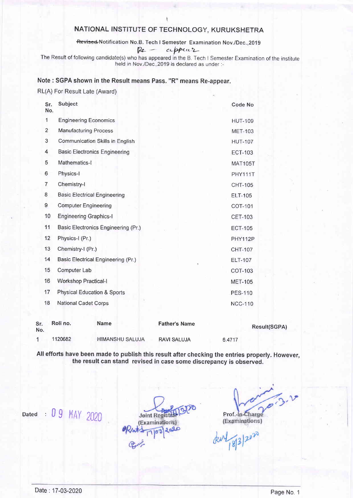Revised Notification No.B. Tech I Semester Examination Nov./Dec.,2019

t

 $Re - \alpha p p \alpha$ 

The Result of following candidate(s) who has appeared in the B. Tech I Semester Examination of the institute held in Nov /Dec , 2019 is declared as under :-

#### Note : SGPA shown in the Result means Pass. "R" means Re-appear.

#### RL(A) For Result Late (Award)

| Sr.<br>No.     | <b>Subject</b>                         | <b>Code No</b> |
|----------------|----------------------------------------|----------------|
| 1              | <b>Engineering Economics</b>           | <b>HUT-109</b> |
| $\overline{2}$ | <b>Manufacturing Process</b>           | <b>MET-103</b> |
| 3              | <b>Communication Skills in English</b> | <b>HUT-107</b> |
| 4              | <b>Basic Electronics Engineering</b>   | <b>ECT-103</b> |
| 5              | Mathematics-I                          | <b>MAT105T</b> |
| 6              | Physics-I                              | PHY111T        |
| 7              | Chemistry-I                            | <b>CHT-105</b> |
| 8              | <b>Basic Electrical Engineering</b>    | <b>ELT-105</b> |
| 9              | <b>Computer Engineering</b>            | COT-101        |
| 10             | <b>Engineering Graphics-I</b>          | <b>CET-103</b> |
| 11             | Basic Electronics Engineering (Pr.)    | <b>ECT-105</b> |
| 12             | Physics-I (Pr.)                        | PHY112P        |
| 13             | Chemistry-I (Pr.)                      | CHT-107        |
| 14             | Basic Electrical Engineering (Pr.)     | <b>ELT-107</b> |
| 15             | Computer Lab                           | COT-103        |
| 16             | <b>Workshop Practical-I</b>            | <b>MET-105</b> |
| 17             | <b>Physical Education &amp; Sports</b> | <b>PES-110</b> |
| 18             | <b>National Cadet Corps</b>            | <b>NCC-110</b> |
|                |                                        |                |
|                |                                        |                |

| Sr.<br>No. | Roll no. | <b>Name</b>            | <b>Father's Name</b> | Result(SGPA) |  |
|------------|----------|------------------------|----------------------|--------------|--|
|            | 1120682  | <b>HIMANSHU SALUJA</b> | <b>RAVI SALUJA</b>   | 6.4717       |  |

AII efforts have been made to publish this result after checking the entries properly. However, the result can stand revised in case some discrepancy is observed.

Dated :  $09$  MAY 2020 Joint Registrations) Prof.-In-Charge<br>(Examinations) Prof.-In-Charge<br>(Examinations)

3.0

8/3/2020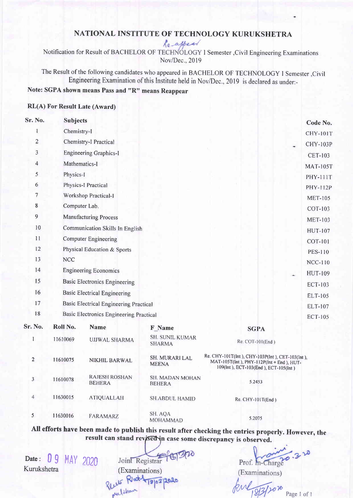Notification for Result of BACHELOR OF TECHNOLOGY I Semester, Civil Engineering Examinations Nov/Dec.,2019

The Result of the following candidates who appeared in BACHELOR OF TECHNOLOGY I Semester, Civil Engineering Examination of this Institute held in Nov/Dec.,2019 is declared as under:-

## Note: SGPA shown means Pass and "R" means Reappear

#### RL(A) For Result Late (Award)

| Sr. No.                 | <b>Subjects</b> |                                                |                                           |                                 | Code No.        |
|-------------------------|-----------------|------------------------------------------------|-------------------------------------------|---------------------------------|-----------------|
|                         | Chemistry-I     |                                                |                                           |                                 | <b>CHY-101T</b> |
| $\overline{\mathbf{c}}$ |                 | Chemistry-I Practical                          |                                           |                                 | <b>CHY-103P</b> |
| 3                       |                 | <b>Engineering Graphics-I</b>                  |                                           |                                 | <b>CET-103</b>  |
| 4                       | Mathematics-I   |                                                |                                           |                                 | <b>MAT-105T</b> |
| 5                       | Physics-I       |                                                |                                           |                                 | <b>PHY-111T</b> |
| 6                       |                 | <b>Physics-I Practical</b>                     |                                           |                                 | <b>PHY-112P</b> |
| 7                       |                 | Workshop Practical-1                           |                                           |                                 | <b>MET-105</b>  |
| 8                       | Computer Lab.   |                                                |                                           |                                 | COT-103         |
| 9                       |                 | <b>Manufacturing Process</b>                   |                                           |                                 | <b>MET-103</b>  |
| 10                      |                 | Communication Skills In English                |                                           |                                 | <b>HUT-107</b>  |
| 11                      |                 | <b>Computer Engineering</b>                    |                                           |                                 | <b>COT-101</b>  |
| 12                      |                 | Physical Education & Sports                    |                                           |                                 | <b>PES-110</b>  |
| 13                      | <b>NCC</b>      |                                                |                                           |                                 | <b>NCC-110</b>  |
| 14                      |                 | <b>Engineering Economics</b>                   |                                           |                                 | <b>HUT-109</b>  |
| 15                      |                 | <b>Basic Electronics Engineering</b>           |                                           |                                 | <b>ECT-103</b>  |
| 16                      |                 | <b>Basic Electrical Engineering</b>            |                                           |                                 | ELT-105         |
| 17                      |                 | <b>Basic Electrical Engineering Practical</b>  |                                           |                                 | ELT-107         |
| 18                      |                 | <b>Basic Electronics Engineering Practical</b> |                                           |                                 | <b>ECT-105</b>  |
| Sr. No.                 | Roll No.        | <b>Name</b>                                    | <b>F</b> Name                             |                                 |                 |
|                         | 11610069        | <b>UJJWAL SHARMA</b>                           | <b>SH. SUNIL KUMAR</b><br><b>CILADRAA</b> | <b>SGPA</b><br>Re: COT-101(End) |                 |

|                | 11010009 | UJJWAL SHARMA                         | 0.11.00111211011111<br><b>SHARMA</b> | $Re$ : COT-101(End)                                                                                                                 |
|----------------|----------|---------------------------------------|--------------------------------------|-------------------------------------------------------------------------------------------------------------------------------------|
| $\overline{2}$ | 11610075 | <b>NIKHIL BARWAL</b>                  | SH. MURARI LAL<br><b>MEENA</b>       | Re. CHY-101T(Int), CHY-103P(Int), CET-103(Int),<br>MAT-105T(Int), PHY-112P(Int + End), HUT-<br>109(Int), ECT-103(End), ECT-105(Int) |
| 3              | 11610078 | <b>RAJESH ROSHAN</b><br><b>BEHERA</b> | SH. MADAN MOHAN<br><b>BEHERA</b>     | 5.2453                                                                                                                              |
|                | 11630015 | ATIQUALLAH                            | <b>SH.ABDUL HAMID</b>                | Re. CHY-101T(End)                                                                                                                   |
| 5              | 11630016 | FARAMARZ                              | SH. AQA<br><b>MOHAMMAD</b>           | 5.2075                                                                                                                              |

All efforts have been made to publish this result after checking the entrics properly. However, the result can stand revised in case some discrepancy is observed.

Date: 09 MAY 2020<br>Kurukshetra

Joint Registrar Examinations)<br>Reute Richt 19/03/2020 peershaw

Prof. m-Charge 32

(Examinations)

frul 18/3/2020 Page 1 of 1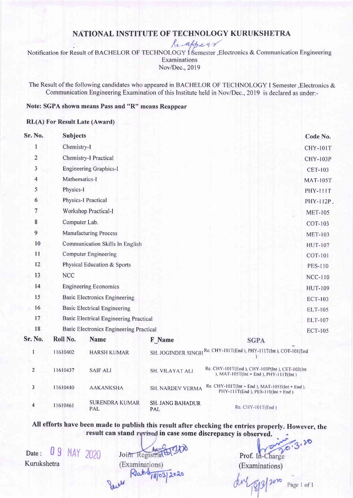Re-appear

Notification for Result of BACHELOR OF TECHNOLOGY (Semester , Electronics & Communication Engineering Examinations Nov/Dec.,2019

The Result of the following candidates who appeared in BACHELOR OF TECHNOLOGY I Semester, Electronics & Communication Engineering Examination of this Institute held in Nov/Dec.,2019 is declared as under:-

### Note: SGPA shown means Pass and "R" means Reappear

#### RL(A) For Result Late (Award)

| Sr. No.        | <b>Subjects</b> |                                                |                                       |                                                                                            | Code No.        |
|----------------|-----------------|------------------------------------------------|---------------------------------------|--------------------------------------------------------------------------------------------|-----------------|
| 1              | Chemistry-1     |                                                |                                       |                                                                                            | <b>CHY-101T</b> |
| $\overline{2}$ |                 | Chemistry-I Practical                          |                                       |                                                                                            | <b>CHY-103P</b> |
| 3              |                 | <b>Engineering Graphics-I</b>                  |                                       |                                                                                            | <b>CET-103</b>  |
| 4              | Mathematics-I   |                                                |                                       |                                                                                            | <b>MAT-105T</b> |
| 5              | Physics-I       |                                                |                                       |                                                                                            | <b>PHY-111T</b> |
| 6              |                 | <b>Physics-I Practical</b>                     |                                       |                                                                                            | <b>PHY-112P</b> |
| 7              |                 | Workshop Practical-I                           |                                       |                                                                                            | <b>MET-105</b>  |
| 8              | Computer Lab.   |                                                |                                       |                                                                                            | COT-103         |
| 9              |                 | <b>Manufacturing Process</b>                   |                                       |                                                                                            | <b>MET-103</b>  |
| 10             |                 | Communication Skills In English                |                                       |                                                                                            | <b>HUT-107</b>  |
| 11             |                 | <b>Computer Engineering</b>                    |                                       |                                                                                            | <b>COT-101</b>  |
| 12             |                 | Physical Education & Sports                    |                                       |                                                                                            | <b>PES-110</b>  |
| 13             | <b>NCC</b>      |                                                |                                       |                                                                                            | <b>NCC-110</b>  |
| 14             |                 | <b>Engineering Economics</b>                   |                                       |                                                                                            | <b>HUT-109</b>  |
| 15             |                 | <b>Basic Electronics Engineering</b>           |                                       |                                                                                            | <b>ECT-103</b>  |
| 16             |                 | <b>Basic Electrical Engineering</b>            |                                       |                                                                                            | ELT-105         |
| 17             |                 | <b>Basic Electrical Engineering Practical</b>  |                                       |                                                                                            | ELT-107         |
| 18             |                 | <b>Basic Electronics Engineering Practical</b> |                                       |                                                                                            | <b>ECT-105</b>  |
| Sr. No.        | Roll No.        | <b>Name</b>                                    | F Name                                | <b>SGPA</b>                                                                                |                 |
| $\mathbf{1}$   | 11610402        | <b>HARSH KUMAR</b>                             |                                       | SH. JOGINDER SINGH Re. CHY-101T(End), PHY-111T(Int), COT-101(End                           |                 |
| $\overline{2}$ | 11610437        | <b>SAIF ALI</b>                                | SH. VILAYAT ALI                       | Re. CHY-101T(End ), CHY-103P(Int ), CET-103(Int<br>), MAT-105T(Int + End ), PHY-111T(Int)  |                 |
| 3              | 11610440        | <b>AAKANKSHA</b>                               | SH. NARDEV VERMA                      | Re. CHY-101T( $Int + End$ ), MAT-105T( $Int + End$ ),<br>PHY-111T(End), PES-110(Int + End) |                 |
| 4              | 11610461        | <b>SURENDRA KUMAR</b><br>PAL                   | <b>SH. JANG BAHADUR</b><br><b>PAL</b> | $Re. CHY-101T(End)$                                                                        |                 |

All efforts have been made to publish this result after checking the entries properly. However, the result can stand revised in case some discrepancy is observed.

Date: 09 MAY 2020 Kurukshetra

Joint Registrand 1970 (Examinations)  $Rat -181031$ 2020

(Examinations) Prof. In-Charge

Page 1 of 1

,@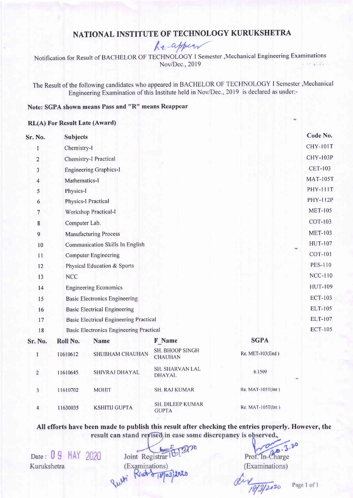$ke$ -appear

Notification for Result of BACHELOR OF TECHNOLOGY I Semester ,Mechanical Engineering Examinations Nov/Dec.,2019 et 28.90

The Result of the following candidates who appeared in BACHELOR OF TECHNOLOCY I Semester,Mechanical Engineering Examination of this Institute held in Nov/Dec.,2019 is declared as under:-

## Note: SGPA shown means Pass and "R" means Reappear

#### RL(A) For Result Late (Award)

| Sr. No.        | <b>Subjects</b>                                |                      |                                   | Code No.          |  |  |
|----------------|------------------------------------------------|----------------------|-----------------------------------|-------------------|--|--|
| $\mathbf{1}$   | Chemistry-I                                    |                      |                                   |                   |  |  |
| $\overline{c}$ | Chemistry-I Practical                          |                      |                                   |                   |  |  |
| 3              | <b>Engineering Graphics-I</b>                  |                      | <b>CET-103</b>                    |                   |  |  |
| $\overline{4}$ | Mathematics-I                                  |                      |                                   |                   |  |  |
| 5              | Physics-I                                      |                      |                                   |                   |  |  |
| 6              | <b>Physics-I Practical</b>                     |                      |                                   |                   |  |  |
| 7              | Workshop Practical-I                           |                      |                                   |                   |  |  |
| 8              | Computer Lab.                                  |                      |                                   |                   |  |  |
| 9              | <b>Manufacturing Process</b>                   |                      |                                   |                   |  |  |
| 10             | Communication Skills In English                |                      |                                   |                   |  |  |
| 11             | <b>Computer Engineering</b>                    |                      |                                   |                   |  |  |
| 12             | Physical Education & Sports                    |                      |                                   |                   |  |  |
| 13             | <b>NCC</b>                                     |                      |                                   |                   |  |  |
| 14             | <b>Engineering Economics</b>                   |                      |                                   |                   |  |  |
| 15             | <b>Basic Electronics Engineering</b>           |                      |                                   |                   |  |  |
| 16             | <b>Basic Electrical Engineering</b>            |                      |                                   |                   |  |  |
| 17             | <b>Basic Electrical Engineering Practical</b>  |                      |                                   |                   |  |  |
| 18             | <b>Basic Electronics Engineering Practical</b> |                      |                                   |                   |  |  |
| Sr. No.        | Roll No.                                       | <b>Name</b>          | <b>F</b> Name                     | <b>SGPA</b>       |  |  |
| 1              | 11610612                                       | SHUBHAM CHAUHAN      | SH. BHOOP SINGH<br><b>CHAUHAN</b> | Re. MET-103(End)  |  |  |
| $\overline{2}$ | 11610645                                       | SHIVRAJ DHAYAL       | SH. SHARVAN LAL<br><b>DHAYAL</b>  | 6.1509            |  |  |
| 3              | 11610702                                       | <b>MOHIT</b>         | <b>SH. RAJ KUMAR</b>              | Re. MAT-105T(Int) |  |  |
| 4              | 11630035                                       | <b>KSHITIJ GUPTA</b> | SH. DILEEP KUMAR<br><b>GUPTA</b>  | Re. MAT-105T(Int) |  |  |

All efforts have been made to publish this result after checking the entries properly. However, the result can stand revised in case some discrepancy is observed.

Date: 0 9 MAY 2020 Kurukshetra

Joint Registrar (Examinations) Rlat 818/03 Pulti

 $\overline{3}$   $\infty$ Prof. In-Charge (Examinations)

dire 18/3/2020

Page 1 of 1